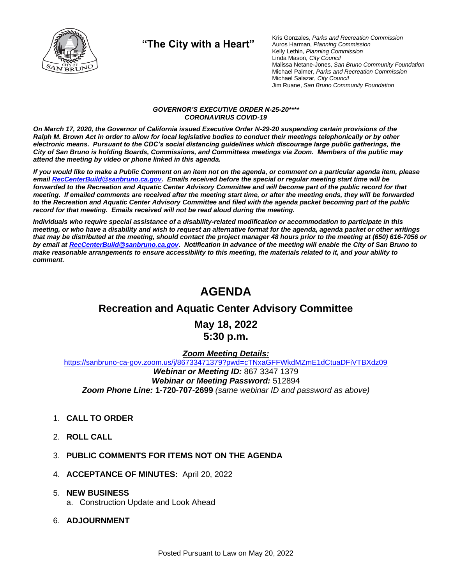

**"The City with a Heart"**

Kris Gonzales, *Parks and Recreation Commission* Auros Harman, *Planning Commission* Kelly Lethin, *Planning Commission* Linda Mason, *City Council* Malissa Netane-Jones, *San Bruno Community Foundation* Michael Palmer, *Parks and Recreation Commission* Michael Salazar, *City Council* Jim Ruane, *San Bruno Community Foundation*

#### *GOVERNOR'S EXECUTIVE ORDER N-25-20\*\*\*\* CORONAVIRUS COVID-19*

*On March 17, 2020, the Governor of California issued Executive Order N-29-20 suspending certain provisions of the Ralph M. Brown Act in order to allow for local legislative bodies to conduct their meetings telephonically or by other electronic means. Pursuant to the CDC's social distancing guidelines which discourage large public gatherings, the City of San Bruno is holding Boards, Commissions, and Committees meetings via Zoom. Members of the public may attend the meeting by video or phone linked in this agenda.*

*If you would like to make a Public Comment on an item not on the agenda, or comment on a particular agenda item, please emai[l RecCenterBuild@sanbruno.ca.gov.](mailto:RecCenterBuild@sanbruno.ca.gov) Emails received before the special or regular meeting start time will be forwarded to the Recreation and Aquatic Center Advisory Committee and will become part of the public record for that meeting. If emailed comments are received after the meeting start time, or after the meeting ends, they will be forwarded to the Recreation and Aquatic Center Advisory Committee and filed with the agenda packet becoming part of the public record for that meeting. Emails received will not be read aloud during the meeting.* 

*Individuals who require special assistance of a disability-related modification or accommodation to participate in this meeting, or who have a disability and wish to request an alternative format for the agenda, agenda packet or other writings that may be distributed at the meeting, should contact the project manager 48 hours prior to the meeting at (650) 616-7056 or by email a[t RecCenterBuild@sanbruno.ca.gov.](mailto:RecCenterBuild@sanbruno.ca.gov) Notification in advance of the meeting will enable the City of San Bruno to make reasonable arrangements to ensure accessibility to this meeting, the materials related to it, and your ability to comment.*

# **AGENDA**

## **Recreation and Aquatic Center Advisory Committee**

**May 18, 2022 5:30 p.m.**

#### *Zoom Meeting Details:*

[https://sanbruno-ca-gov.zoom.us/j/86733471379?pwd=cTNxaGFFWkdMZmE1dCtuaDFiVTBXdz09](https://sanbruno-ca-gov.zoom.us/j/86733471379?pwd=cTNxaGFFWkdMZmE1dCtuaDFiVTBXdz09%20) *Webinar or Meeting ID:* 867 3347 1379 *Webinar or Meeting Password:* 512894 *Zoom Phone Line:* **1-720-707-2699** *(same webinar ID and password as above)*

- 1. **CALL TO ORDER**
- 2. **ROLL CALL**
- 3. **PUBLIC COMMENTS FOR ITEMS NOT ON THE AGENDA**
- 4. **ACCEPTANCE OF MINUTES:** April 20, 2022

#### 5. **NEW BUSINESS**

- a. Construction Update and Look Ahead
- 6. **ADJOURNMENT**